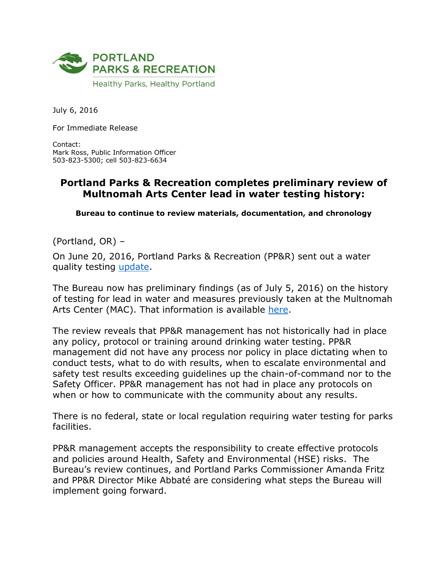

July 6, 2016

For Immediate Release

Contact: Mark Ross, Public Information Officer 503-823-5300; cell 503-823-6634

## **Portland Parks & Recreation completes preliminary review of Multnomah Arts Center lead in water testing history:**

**Bureau to continue to review materials, documentation, and chronology**

(Portland, OR) –

On June 20, 2016, Portland Parks & Recreation (PP&R) sent out a water quality testing [update.](https://www.portlandoregon.gov/parks/article/581176)

The Bureau now has preliminary findings (as of July 5, 2016) on the history of testing for lead in water and measures previously taken at the Multnomah Arts Center (MAC). That information is available [here.](http://www.portlandoregon.gov/omf/article/582892)

The review reveals that PP&R management has not historically had in place any policy, protocol or training around drinking water testing. PP&R management did not have any process nor policy in place dictating when to conduct tests, what to do with results, when to escalate environmental and safety test results exceeding guidelines up the chain-of-command nor to the Safety Officer. PP&R management has not had in place any protocols on when or how to communicate with the community about any results.

There is no federal, state or local regulation requiring water testing for parks facilities.

PP&R management accepts the responsibility to create effective protocols and policies around Health, Safety and Environmental (HSE) risks. The Bureau's review continues, and Portland Parks Commissioner Amanda Fritz and PP&R Director Mike Abbaté are considering what steps the Bureau will implement going forward.